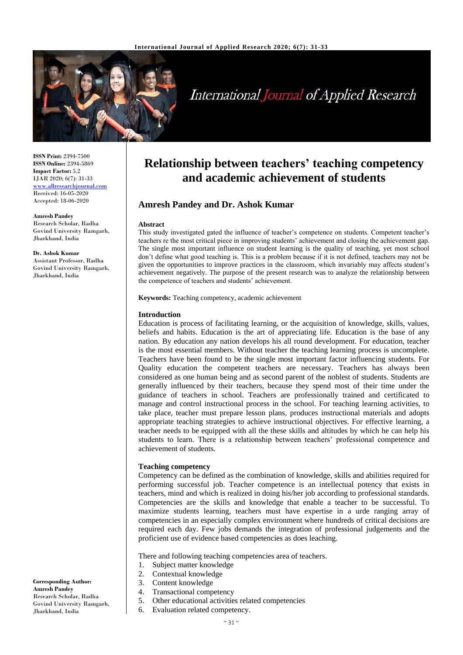

# **International Journal of Applied Research**

**ISSN Print:** 2394-7500 **ISSN Online:** 2394-5869 **Impact Factor:** 5.2 IJAR 2020; 6(7): 31-33 <www.allresearchjournal.com> Received: 16-05-2020 Accepted: 18-06-2020

#### **Amresh Pandey**

Research Scholar, Radha Govind University Ramgarh, Jharkhand, India

**Dr. Ashok Kumar** Assistant Professor, Radha Govind University Ramgarh, Jharkhand, India

**Relationship between teachers' teaching competency and academic achievement of students**

# **Amresh Pandey and Dr. Ashok Kumar**

#### **Abstract**

This study investigated gated the influence of teacher's competence on students. Competent teacher's teachers re the most critical piece in improving students' achievement and closing the achievement gap. The single most important influence on student learning is the quality of teaching, yet most school don't define what good teaching is. This is a problem because if it is not defined, teachers may not be given the opportunities to improve practices in the classroom, which invariably may affects student's achievement negatively. The purpose of the present research was to analyze the relationship between the competence of teachers and students' achievement.

**Keywords:** Teaching competency, academic achievement

#### **Introduction**

Education is process of facilitating learning, or the acquisition of knowledge, skills, values, beliefs and habits. Education is the art of appreciating life. Education is the base of any nation. By education any nation develops his all round development. For education, teacher is the most essential members. Without teacher the teaching learning process is uncomplete. Teachers have been found to be the single most important factor influencing students. For Quality education the competent teachers are necessary. Teachers has always been considered as one human being and as second parent of the noblest of students. Students are generally influenced by their teachers, because they spend most of their time under the guidance of teachers in school. Teachers are professionally trained and certificated to manage and control instructional process in the school. For teaching learning activities, to take place, teacher must prepare lesson plans, produces instructional materials and adopts appropriate teaching strategies to achieve instructional objectives. For effective learning, a teacher needs to be equipped with all the these skills and altitudes by which he can help his students to learn. There is a relationship between teachers' professional competence and achievement of students.

#### **Teaching competency**

Competency can be defined as the combination of knowledge, skills and abilities required for performing successful job. Teacher competence is an intellectual potency that exists in teachers, mind and which is realized in doing his/her job according to professional standards. Competencies are the skills and knowledge that enable a teacher to be successful. To maximize students learning, teachers must have expertise in a urde ranging array of competencies in an especially complex environment where hundreds of critical decisions are required each day. Few jobs demands the integration of professional judgements and the proficient use of evidence based competencies as does leaching.

There and following teaching competencies area of teachers.

- 1. Subject matter knowledge
- 2. Contextual knowledge
- 3. Content knowledge
- 4. Transactional competency
- 5. Other educational activities related competencies
- Govind University Ramgarh, Jharkhand, India

**Corresponding Author: Amresh Pandey** Research Scholar, Radha

6. Evaluation related competency.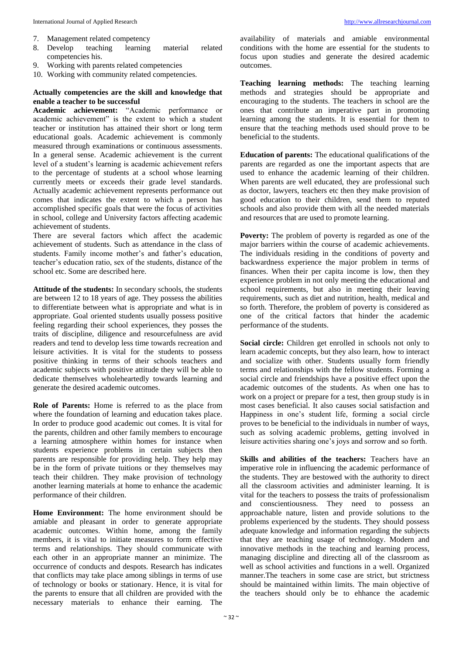- 7. Management related competency
- 8. Develop teaching learning material related competencies his.
- 9. Working with parents related competencies
- 10. Working with community related competencies.

## **Actually competencies are the skill and knowledge that enable a teacher to be successful**

**Academic achievement:** "Academic performance or academic achievement" is the extent to which a student teacher or institution has attained their short or long term educational goals. Academic achievement is commonly measured through examinations or continuous assessments. In a general sense. Academic achievement is the current level of a student's learning is academic achievement refers to the percentage of students at a school whose learning currently meets or exceeds their grade level standards. Actually academic achievement represents performance out comes that indicates the extent to which a person has accomplished specific goals that were the focus of activities in school, college and University factors affecting academic achievement of students.

There are several factors which affect the academic achievement of students. Such as attendance in the class of students. Family income mother's and father's education, teacher's education ratio, sex of the students, distance of the school etc. Some are described here.

**Attitude of the students:** In secondary schools, the students are between 12 to 18 years of age. They possess the abilities to differentiate between what is appropriate and what is in appropriate. Goal oriented students usually possess positive feeling regarding their school experiences, they posses the traits of discipline, diligence and resourcefulness are avid readers and tend to develop less time towards recreation and leisure activities. It is vital for the students to possess positive thinking in terms of their schools teachers and academic subjects with positive attitude they will be able to dedicate themselves wholeheartedly towards learning and generate the desired academic outcomes.

**Role of Parents:** Home is referred to as the place from where the foundation of learning and education takes place. In order to produce good academic out comes. It is vital for the parents, children and other family members to encourage a learning atmosphere within homes for instance when students experience problems in certain subjects then parents are responsible for providing help. They help may be in the form of private tuitions or they themselves may teach their children. They make provision of technology another learning materials at home to enhance the academic performance of their children.

**Home Environment:** The home environment should be amiable and pleasant in order to generate appropriate academic outcomes. Within home, among the family members, it is vital to initiate measures to form effective terms and relationships. They should communicate with each other in an appropriate manner an minimize. The occurrence of conducts and despots. Research has indicates that conflicts may take place among siblings in terms of use of technology or books or stationary. Hence, it is vital for the parents to ensure that all children are provided with the necessary materials to enhance their earning. The

availability of materials and amiable environmental conditions with the home are essential for the students to focus upon studies and generate the desired academic outcomes.

**Teaching learning methods:** The teaching learning methods and strategies should be appropriate and encouraging to the students. The teachers in school are the ones that contribute an imperative part in promoting learning among the students. It is essential for them to ensure that the teaching methods used should prove to be beneficial to the students.

**Education of parents:** The educational qualifications of the parents are regarded as one the important aspects that are used to enhance the academic learning of their children. When parents are well educated, they are professional such as doctor, lawyers, teachers etc then they make provision of good education to their children, send them to reputed schools and also provide them with all the needed materials and resources that are used to promote learning.

**Poverty:** The problem of poverty is regarded as one of the major barriers within the course of academic achievements. The individuals residing in the conditions of poverty and backwardness experience the major problem in terms of finances. When their per capita income is low, then they experience problem in not only meeting the educational and school requirements, but also in meeting their leaving requirements, such as diet and nutrition, health, medical and so forth. Therefore, the problem of poverty is considered as one of the critical factors that hinder the academic performance of the students.

Social circle: Children get enrolled in schools not only to learn academic concepts, but they also learn, how to interact and socialize with other. Students usually form friendly terms and relationships with the fellow students. Forming a social circle and friendships have a positive effect upon the academic outcomes of the students. As when one has to work on a project or prepare for a test, then group study is in most cases beneficial. It also causes social satisfaction and Happiness in one's student life, forming a social circle proves to be beneficial to the individuals in number of ways, such as solving academic problems, getting involved in leisure activities sharing one's joys and sorrow and so forth.

**Skills and abilities of the teachers:** Teachers have an imperative role in influencing the academic performance of the students. They are bestowed with the authority to direct all the classroom activities and administer learning. It is vital for the teachers to possess the traits of professionalism and conscientiousness. They need to possess an approachable nature, listen and provide solutions to the problems experienced by the students. They should possess adequate knowledge and information regarding the subjects that they are teaching usage of technology. Modern and innovative methods in the teaching and learning process, managing discipline and directing all of the classroom as well as school activities and functions in a well. Organized manner.The teachers in some case are strict, but strictness should be maintained within limits. The main objective of the teachers should only be to ehhance the academic